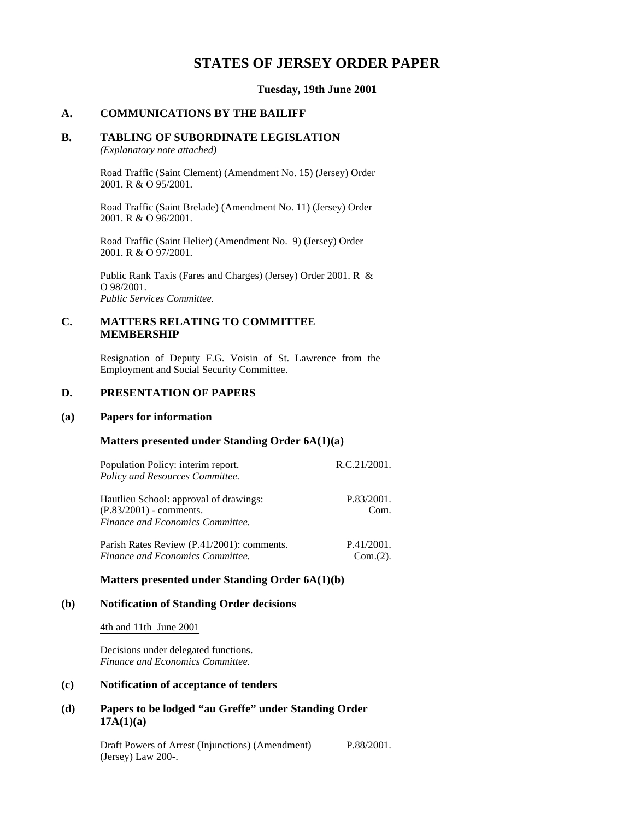# **STATES OF JERSEY ORDER PAPER**

**Tuesday, 19th June 2001**

# **A. COMMUNICATIONS BY THE BAILIFF**

## **B. TABLING OF SUBORDINATE LEGISLATION**

*(Explanatory note attached)*

Road Traffic (Saint Clement) (Amendment No. 15) (Jersey) Order 2001. R & O 95/2001.

Road Traffic (Saint Brelade) (Amendment No. 11) (Jersey) Order 2001. R & O 96/2001.

Road Traffic (Saint Helier) (Amendment No. 9) (Jersey) Order 2001. R & O 97/2001.

Public Rank Taxis (Fares and Charges) (Jersey) Order 2001. R & O 98/2001. *Public Services Committee.*

## **C. MATTERS RELATING TO COMMITTEE MEMBERSHIP**

Resignation of Deputy F.G. Voisin of St. Lawrence from the Employment and Social Security Committee.

# **D. PRESENTATION OF PAPERS**

### **(a) Papers for information**

## **Matters presented under Standing Order 6A(1)(a)**

| Population Policy: interim report.<br>Policy and Resources Committee.                                   | R.C.21/2001.       |
|---------------------------------------------------------------------------------------------------------|--------------------|
| Hautlieu School: approval of drawings:<br>$(P.83/2001)$ - comments.<br>Finance and Economics Committee. | P.83/2001.<br>Com. |

Parish Rates Review (P.41/2001): comments. *Finance and Economics Committee.* P.41/2001. Com.(2).

## **Matters presented under Standing Order 6A(1)(b)**

# **(b) Notification of Standing Order decisions**

### 4th and 11th June 2001

Decisions under delegated functions. *Finance and Economics Committee.*

## **(c) Notification of acceptance of tenders**

## **(d) Papers to be lodged "au Greffe" under Standing Order 17A(1)(a)**

Draft Powers of Arrest (Injunctions) (Amendment) (Jersey) Law 200-. P.88/2001.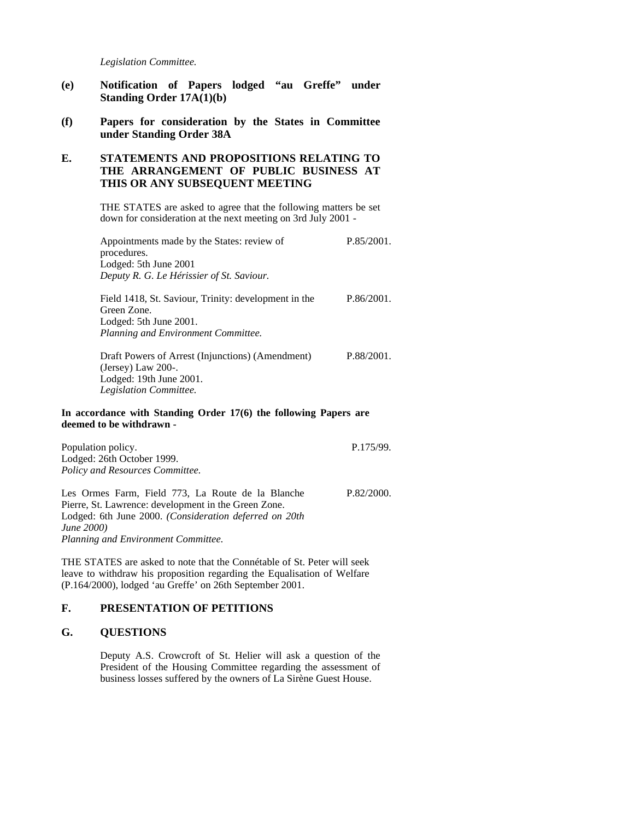*Legislation Committee.*

- **(e) Notification of Papers lodged "au Greffe" under Standing Order 17A(1)(b)**
- **(f) Papers for consideration by the States in Committee under Standing Order 38A**

## **E. STATEMENTS AND PROPOSITIONS RELATING TO THE ARRANGEMENT OF PUBLIC BUSINESS AT THIS OR ANY SUBSEQUENT MEETING**

THE STATES are asked to agree that the following matters be set down for consideration at the next meeting on 3rd July 2001 -

| Appointments made by the States: review of<br>procedures. | P.85/2001. |
|-----------------------------------------------------------|------------|
| Lodged: 5th June 2001                                     |            |
| Deputy R. G. Le Hérissier of St. Saviour.                 |            |
| Field 1418, St. Saviour, Trinity: development in the      | P.86/2001. |
| Green Zone.                                               |            |
| Lodged: 5th June 2001.                                    |            |
| Planning and Environment Committee.                       |            |
| Draft Powers of Arrest (Injunctions) (Amendment)          | P.88/2001. |
| (Jersey) Law $200$ -.                                     |            |
| Lodged: 19th June 2001.                                   |            |

*Legislation Committee.*

### **In accordance with Standing Order 17(6) the following Papers are deemed to be withdrawn -**

| Population policy.                                     | P.175/99.  |
|--------------------------------------------------------|------------|
| Lodged: 26th October 1999.                             |            |
| <b>Policy and Resources Committee.</b>                 |            |
| Les Ormes Farm, Field 773, La Route de la Blanche      | P.82/2000. |
| Pierre, St. Lawrence: development in the Green Zone.   |            |
| Lodged: 6th June 2000. (Consideration deferred on 20th |            |
| <i>June 2000</i> )                                     |            |
| Planning and Environment Committee.                    |            |

THE STATES are asked to note that the Connétable of St. Peter will seek leave to withdraw his proposition regarding the Equalisation of Welfare (P.164/2000), lodged 'au Greffe' on 26th September 2001.

## **F. PRESENTATION OF PETITIONS**

# **G. QUESTIONS**

Deputy A.S. Crowcroft of St. Helier will ask a question of the President of the Housing Committee regarding the assessment of business losses suffered by the owners of La Sirène Guest House.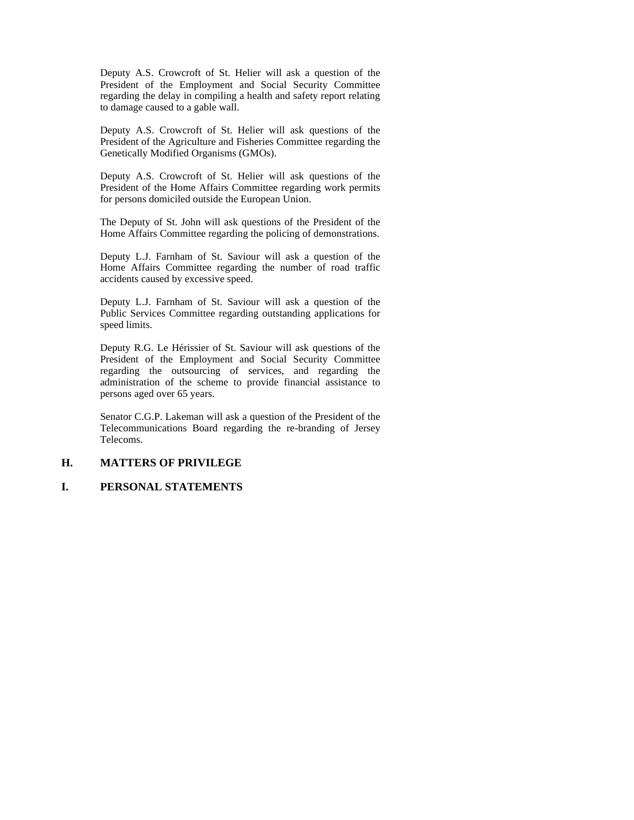Deputy A.S. Crowcroft of St. Helier will ask a question of the President of the Employment and Social Security Committee regarding the delay in compiling a health and safety report relating to damage caused to a gable wall.

Deputy A.S. Crowcroft of St. Helier will ask questions of the President of the Agriculture and Fisheries Committee regarding the Genetically Modified Organisms (GMOs).

Deputy A.S. Crowcroft of St. Helier will ask questions of the President of the Home Affairs Committee regarding work permits for persons domiciled outside the European Union.

The Deputy of St. John will ask questions of the President of the Home Affairs Committee regarding the policing of demonstrations.

Deputy L.J. Farnham of St. Saviour will ask a question of the Home Affairs Committee regarding the number of road traffic accidents caused by excessive speed.

Deputy L.J. Farnham of St. Saviour will ask a question of the Public Services Committee regarding outstanding applications for speed limits.

Deputy R.G. Le Hérissier of St. Saviour will ask questions of the President of the Employment and Social Security Committee regarding the outsourcing of services, and regarding the administration of the scheme to provide financial assistance to persons aged over 65 years.

Senator C.G.P. Lakeman will ask a question of the President of the Telecommunications Board regarding the re-branding of Jersey Telecoms.

# **H. MATTERS OF PRIVILEGE**

## **I. PERSONAL STATEMENTS**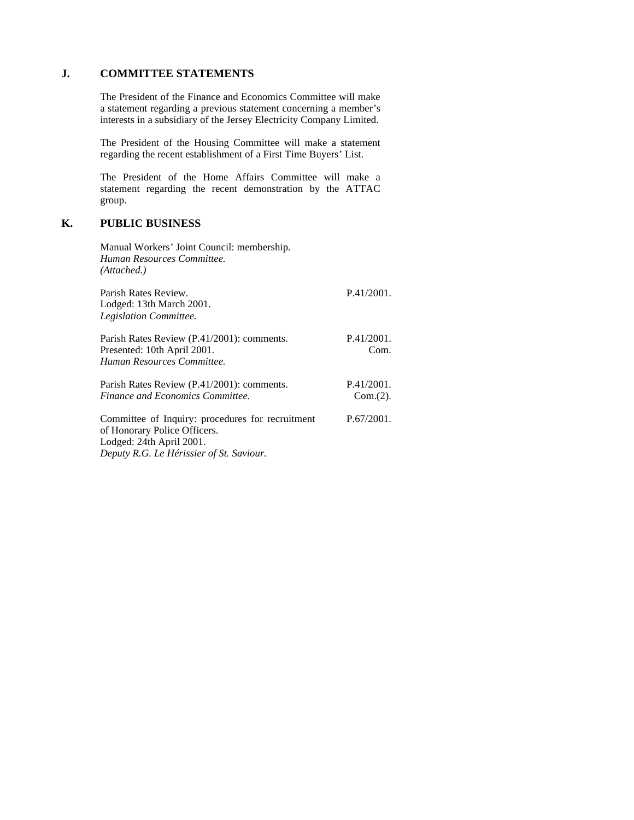# **J. COMMITTEE STATEMENTS**

The President of the Finance and Economics Committee will make a statement regarding a previous statement concerning a member's interests in a subsidiary of the Jersey Electricity Company Limited.

The President of the Housing Committee will make a statement regarding the recent establishment of a First Time Buyers' List.

The President of the Home Affairs Committee will make a statement regarding the recent demonstration by the ATTAC group.

P.41/2001.

P.41/2001. Com.

P.41/2001. Com.(2).

# **K. PUBLIC BUSINESS**

Manual Workers' Joint Council: membership. *Human Resources Committee. (Attached.)*

Parish Rates Review. Lodged: 13th March 2001. *Legislation Committee.*

Parish Rates Review (P.41/2001): comments. Presented: 10th April 2001. *Human Resources Committee.*

Parish Rates Review (P.41/2001): comments. *Finance and Economics Committee.*

Committee of Inquiry: procedures for recruitment of Honorary Police Officers. Lodged: 24th April 2001. *Deputy R.G. Le Hérissier of St. Saviour.* P.67/2001.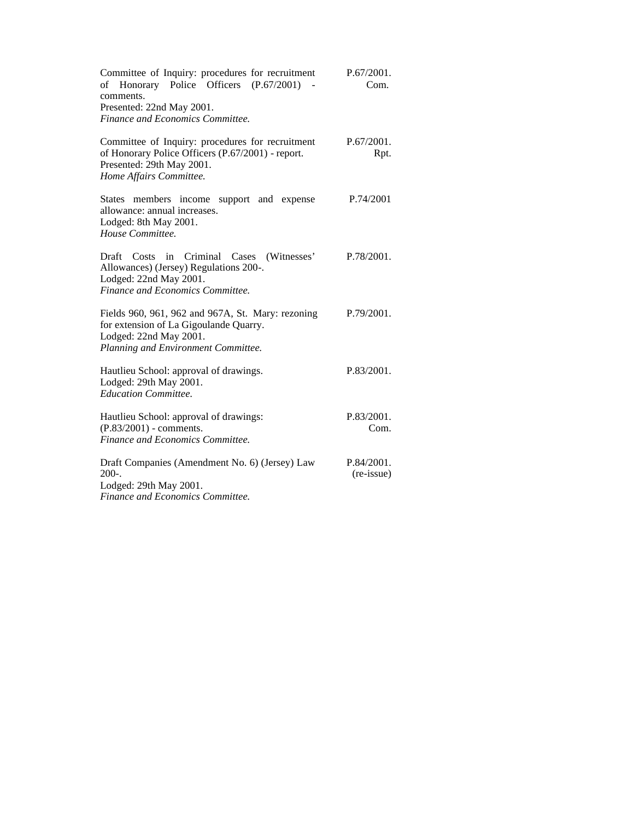| Committee of Inquiry: procedures for recruitment<br>Honorary Police Officers<br>(P.67/2001)<br>of<br>comments.<br>Presented: 22nd May 2001.<br>Finance and Economics Committee. | P.67/2001.<br>Com.       |
|---------------------------------------------------------------------------------------------------------------------------------------------------------------------------------|--------------------------|
| Committee of Inquiry: procedures for recruitment<br>of Honorary Police Officers (P.67/2001) - report.<br>Presented: 29th May 2001.<br>Home Affairs Committee.                   | P.67/2001.<br>Rpt.       |
| States members income<br>support and expense<br>allowance: annual increases.<br>Lodged: 8th May 2001.<br>House Committee.                                                       | P.74/2001                |
| Draft Costs in Criminal<br>(Witnesses)<br>Cases<br>Allowances) (Jersey) Regulations 200-.<br>Lodged: 22nd May 2001.<br>Finance and Economics Committee.                         | P.78/2001.               |
| Fields 960, 961, 962 and 967A, St. Mary: rezoning<br>for extension of La Gigoulande Quarry.<br>Lodged: 22nd May 2001.<br>Planning and Environment Committee.                    | P.79/2001.               |
| Hautlieu School: approval of drawings.<br>Lodged: 29th May 2001.<br><b>Education Committee.</b>                                                                                 | $P.83/2001$ .            |
| Hautlieu School: approval of drawings:<br>$(P.83/2001)$ - comments.<br>Finance and Economics Committee.                                                                         | P.83/2001.<br>Com.       |
| Draft Companies (Amendment No. 6) (Jersey) Law<br>$200-.$<br>Lodged: 29th May 2001.<br>Finance and Economics Committee.                                                         | P.84/2001.<br>(re-issue) |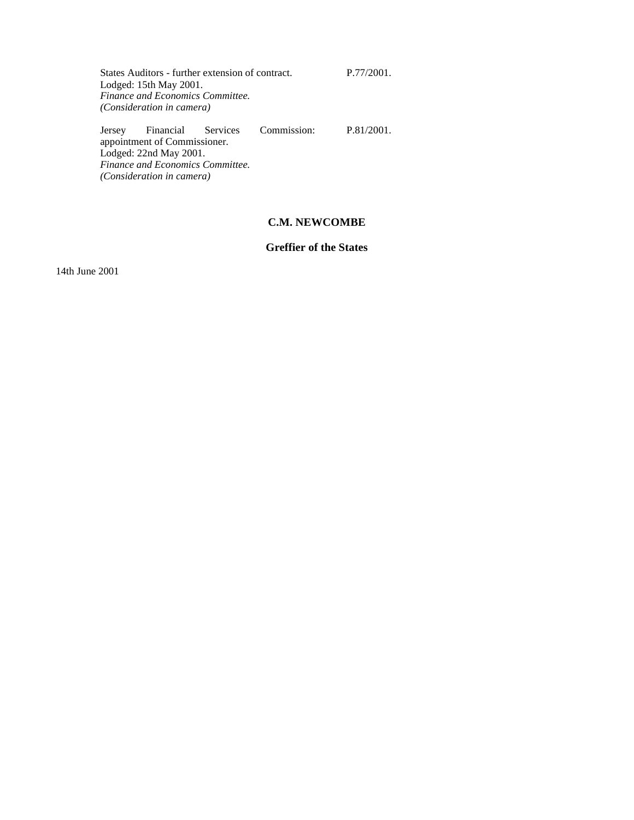States Auditors - further extension of contract. Lodged: 15th May 2001. *Finance and Economics Committee. (Consideration in camera)*

Jersey Financial Services Commission: appointment of Commissioner. Lodged: 22nd May 2001. *Finance and Economics Committee. (Consideration in camera)* P.81/2001.

# **C.M. NEWCOMBE**

# **Greffier of the States**

14th June 2001

P.77/2001.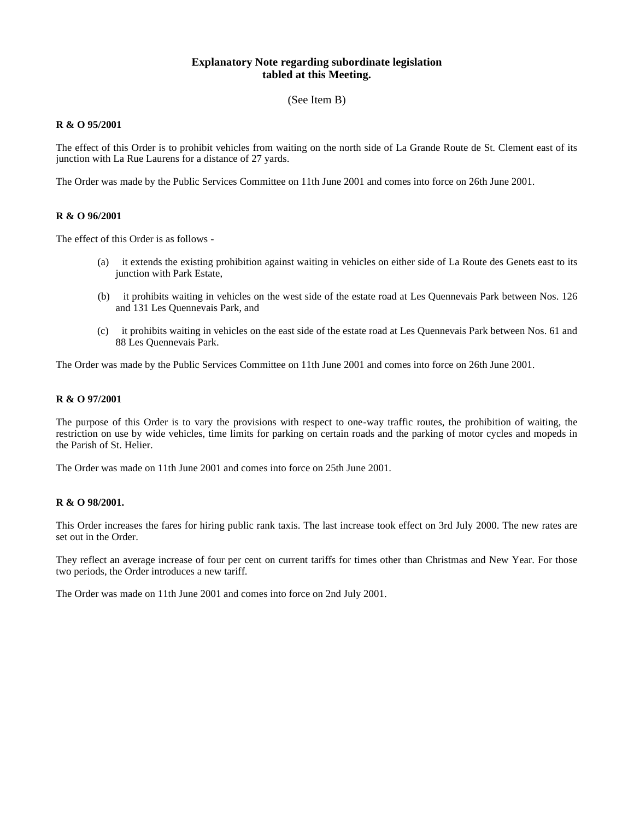## **Explanatory Note regarding subordinate legislation tabled at this Meeting.**

(See Item B)

## **R & O 95/2001**

The effect of this Order is to prohibit vehicles from waiting on the north side of La Grande Route de St. Clement east of its junction with La Rue Laurens for a distance of 27 yards.

The Order was made by the Public Services Committee on 11th June 2001 and comes into force on 26th June 2001.

## **R & O 96/2001**

The effect of this Order is as follows -

- (a) it extends the existing prohibition against waiting in vehicles on either side of La Route des Genets east to its junction with Park Estate,
- (b) it prohibits waiting in vehicles on the west side of the estate road at Les Quennevais Park between Nos. 126 and 131 Les Quennevais Park, and
- (c) it prohibits waiting in vehicles on the east side of the estate road at Les Quennevais Park between Nos. 61 and 88 Les Quennevais Park.

The Order was made by the Public Services Committee on 11th June 2001 and comes into force on 26th June 2001.

### **R & O 97/2001**

The purpose of this Order is to vary the provisions with respect to one-way traffic routes, the prohibition of waiting, the restriction on use by wide vehicles, time limits for parking on certain roads and the parking of motor cycles and mopeds in the Parish of St. Helier.

The Order was made on 11th June 2001 and comes into force on 25th June 2001.

### **R & O 98/2001.**

This Order increases the fares for hiring public rank taxis. The last increase took effect on 3rd July 2000. The new rates are set out in the Order.

They reflect an average increase of four per cent on current tariffs for times other than Christmas and New Year. For those two periods, the Order introduces a new tariff.

The Order was made on 11th June 2001 and comes into force on 2nd July 2001.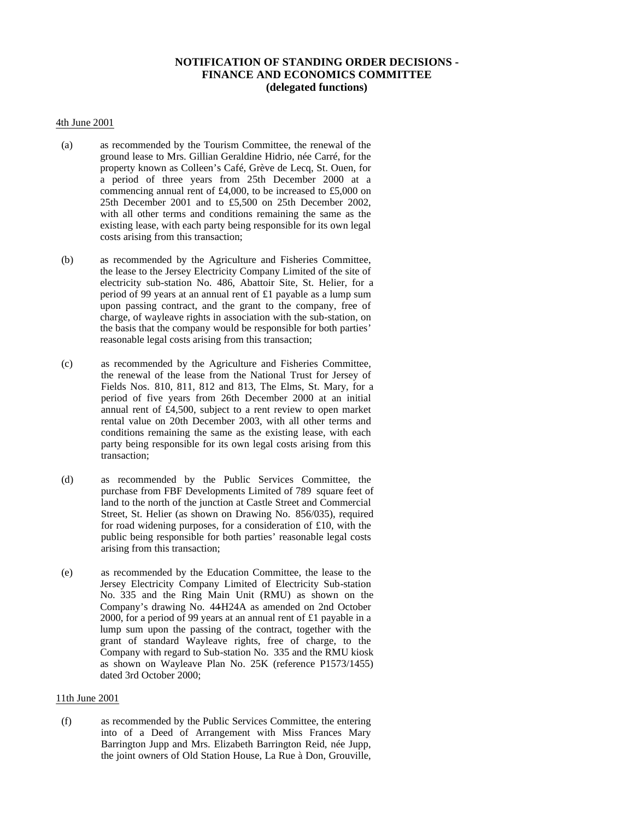## **NOTIFICATION OF STANDING ORDER DECISIONS - FINANCE AND ECONOMICS COMMITTEE (delegated functions)**

### 4th June 2001

- (a) as recommended by the Tourism Committee, the renewal of the ground lease to Mrs. Gillian Geraldine Hidrio, née Carré, for the property known as Colleen's Café, Grève de Lecq, St. Ouen, for a period of three years from 25th December 2000 at a commencing annual rent of £4,000, to be increased to £5,000 on 25th December 2001 and to £5,500 on 25th December 2002, with all other terms and conditions remaining the same as the existing lease, with each party being responsible for its own legal costs arising from this transaction;
- (b) as recommended by the Agriculture and Fisheries Committee, the lease to the Jersey Electricity Company Limited of the site of electricity sub-station No. 486, Abattoir Site, St. Helier, for a period of 99 years at an annual rent of £1 payable as a lump sum upon passing contract, and the grant to the company, free of charge, of wayleave rights in association with the sub-station, on the basis that the company would be responsible for both parties' reasonable legal costs arising from this transaction;
- (c) as recommended by the Agriculture and Fisheries Committee, the renewal of the lease from the National Trust for Jersey of Fields Nos. 810, 811, 812 and 813, The Elms, St. Mary, for a period of five years from 26th December 2000 at an initial annual rent of £4,500, subject to a rent review to open market rental value on 20th December 2003, with all other terms and conditions remaining the same as the existing lease, with each party being responsible for its own legal costs arising from this transaction;
- (d) as recommended by the Public Services Committee, the purchase from FBF Developments Limited of 789 square feet of land to the north of the junction at Castle Street and Commercial Street, St. Helier (as shown on Drawing No. 856/035), required for road widening purposes, for a consideration of £10, with the public being responsible for both parties' reasonable legal costs arising from this transaction;
- (e) as recommended by the Education Committee, the lease to the Jersey Electricity Company Limited of Electricity Sub-station No. 335 and the Ring Main Unit (RMU) as shown on the Company's drawing No. 44-H24A as amended on 2nd October 2000, for a period of 99 years at an annual rent of £1 payable in a lump sum upon the passing of the contract, together with the grant of standard Wayleave rights, free of charge, to the Company with regard to Sub-station No. 335 and the RMU kiosk as shown on Wayleave Plan No. 25K (reference P1573/1455) dated 3rd October 2000;

### 11th June 2001

(f) as recommended by the Public Services Committee, the entering into of a Deed of Arrangement with Miss Frances Mary Barrington Jupp and Mrs. Elizabeth Barrington Reid, née Jupp, the joint owners of Old Station House, La Rue à Don, Grouville,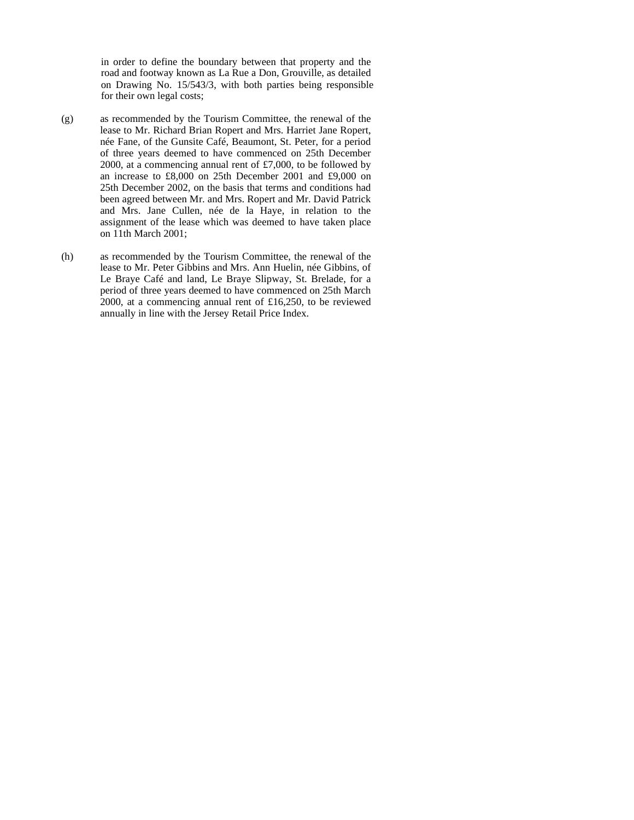in order to define the boundary between that property and the road and footway known as La Rue a Don, Grouville, as detailed on Drawing No. 15/543/3, with both parties being responsible for their own legal costs;

- (g) as recommended by the Tourism Committee, the renewal of the lease to Mr. Richard Brian Ropert and Mrs. Harriet Jane Ropert, née Fane, of the Gunsite Café, Beaumont, St. Peter, for a period of three years deemed to have commenced on 25th December 2000, at a commencing annual rent of £7,000, to be followed by an increase to £8,000 on 25th December 2001 and £9,000 on 25th December 2002, on the basis that terms and conditions had been agreed between Mr. and Mrs. Ropert and Mr. David Patrick and Mrs. Jane Cullen, née de la Haye, in relation to the assignment of the lease which was deemed to have taken place on 11th March 2001;
- (h) as recommended by the Tourism Committee, the renewal of the lease to Mr. Peter Gibbins and Mrs. Ann Huelin, née Gibbins, of Le Braye Café and land, Le Braye Slipway, St. Brelade, for a period of three years deemed to have commenced on 25th March 2000, at a commencing annual rent of £16,250, to be reviewed annually in line with the Jersey Retail Price Index.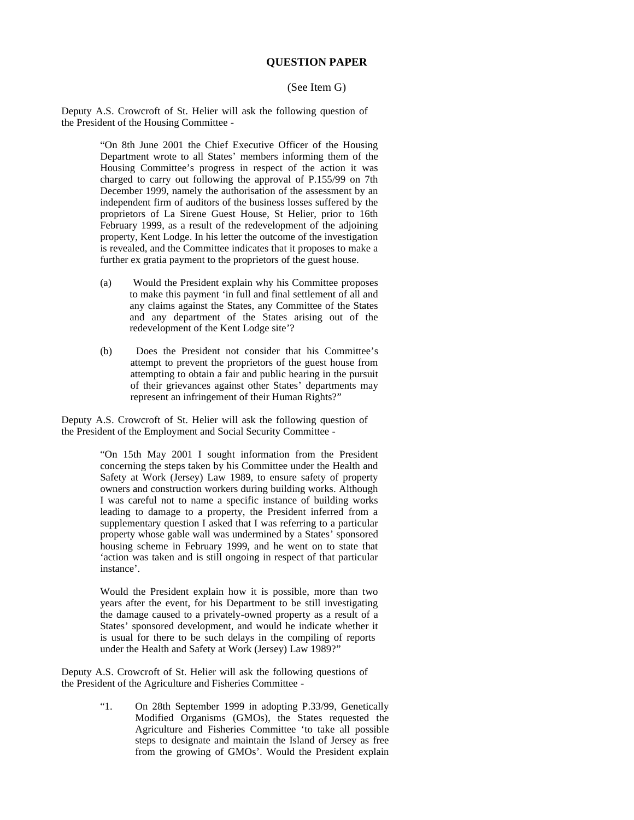## **QUESTION PAPER**

### (See Item G)

Deputy A.S. Crowcroft of St. Helier will ask the following question of the President of the Housing Committee -

> "On 8th June 2001 the Chief Executive Officer of the Housing Department wrote to all States' members informing them of the Housing Committee's progress in respect of the action it was charged to carry out following the approval of P.155/99 on 7th December 1999, namely the authorisation of the assessment by an independent firm of auditors of the business losses suffered by the proprietors of La Sirene Guest House, St Helier, prior to 16th February 1999, as a result of the redevelopment of the adjoining property, Kent Lodge. In his letter the outcome of the investigation is revealed, and the Committee indicates that it proposes to make a further ex gratia payment to the proprietors of the guest house.

- (a) Would the President explain why his Committee proposes to make this payment 'in full and final settlement of all and any claims against the States, any Committee of the States and any department of the States arising out of the redevelopment of the Kent Lodge site'?
- (b) Does the President not consider that his Committee's attempt to prevent the proprietors of the guest house from attempting to obtain a fair and public hearing in the pursuit of their grievances against other States' departments may represent an infringement of their Human Rights?"

Deputy A.S. Crowcroft of St. Helier will ask the following question of the President of the Employment and Social Security Committee -

> "On 15th May 2001 I sought information from the President concerning the steps taken by his Committee under the Health and Safety at Work (Jersey) Law 1989, to ensure safety of property owners and construction workers during building works. Although I was careful not to name a specific instance of building works leading to damage to a property, the President inferred from a supplementary question I asked that I was referring to a particular property whose gable wall was undermined by a States' sponsored housing scheme in February 1999, and he went on to state that 'action was taken and is still ongoing in respect of that particular instance'.

> Would the President explain how it is possible, more than two years after the event, for his Department to be still investigating the damage caused to a privately-owned property as a result of a States' sponsored development, and would he indicate whether it is usual for there to be such delays in the compiling of reports under the Health and Safety at Work (Jersey) Law 1989?"

Deputy A.S. Crowcroft of St. Helier will ask the following questions of the President of the Agriculture and Fisheries Committee -

> "1. On 28th September 1999 in adopting P.33/99, Genetically Modified Organisms (GMOs), the States requested the Agriculture and Fisheries Committee 'to take all possible steps to designate and maintain the Island of Jersey as free from the growing of GMOs'. Would the President explain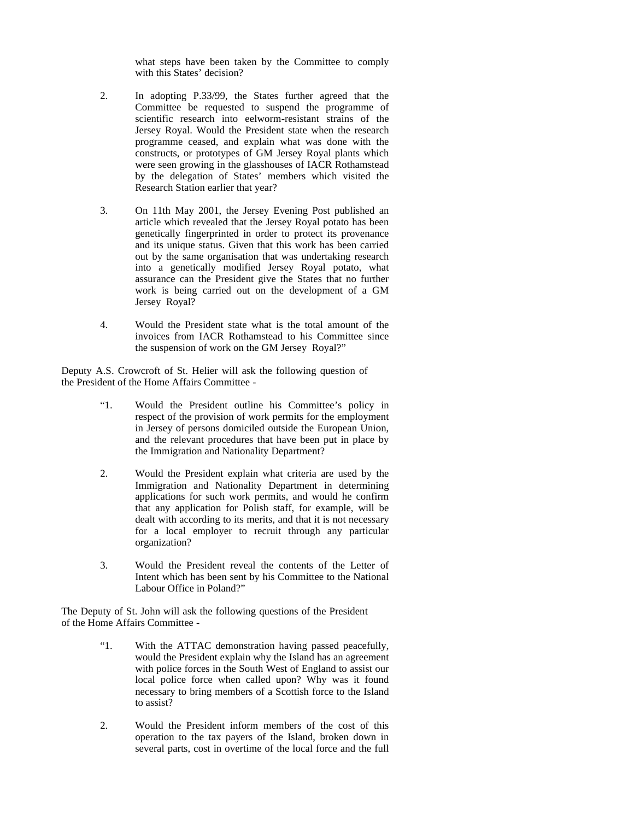what steps have been taken by the Committee to comply with this States' decision?

- 2. In adopting P.33/99, the States further agreed that the Committee be requested to suspend the programme of scientific research into eelworm-resistant strains of the Jersey Royal. Would the President state when the research programme ceased, and explain what was done with the constructs, or prototypes of GM Jersey Royal plants which were seen growing in the glasshouses of IACR Rothamstead by the delegation of States' members which visited the Research Station earlier that year?
- 3. On 11th May 2001, the Jersey Evening Post published an article which revealed that the Jersey Royal potato has been genetically fingerprinted in order to protect its provenance and its unique status. Given that this work has been carried out by the same organisation that was undertaking research into a genetically modified Jersey Royal potato, what assurance can the President give the States that no further work is being carried out on the development of a GM Jersey Royal?
- 4. Would the President state what is the total amount of the invoices from IACR Rothamstead to his Committee since the suspension of work on the GM Jersey Royal?"

Deputy A.S. Crowcroft of St. Helier will ask the following question of the President of the Home Affairs Committee -

- "1. Would the President outline his Committee's policy in respect of the provision of work permits for the employment in Jersey of persons domiciled outside the European Union, and the relevant procedures that have been put in place by the Immigration and Nationality Department?
- 2. Would the President explain what criteria are used by the Immigration and Nationality Department in determining applications for such work permits, and would he confirm that any application for Polish staff, for example, will be dealt with according to its merits, and that it is not necessary for a local employer to recruit through any particular organization?
- 3. Would the President reveal the contents of the Letter of Intent which has been sent by his Committee to the National Labour Office in Poland?"

The Deputy of St. John will ask the following questions of the President of the Home Affairs Committee -

- "1. With the ATTAC demonstration having passed peacefully, would the President explain why the Island has an agreement with police forces in the South West of England to assist our local police force when called upon? Why was it found necessary to bring members of a Scottish force to the Island to assist?
- 2. Would the President inform members of the cost of this operation to the tax payers of the Island, broken down in several parts, cost in overtime of the local force and the full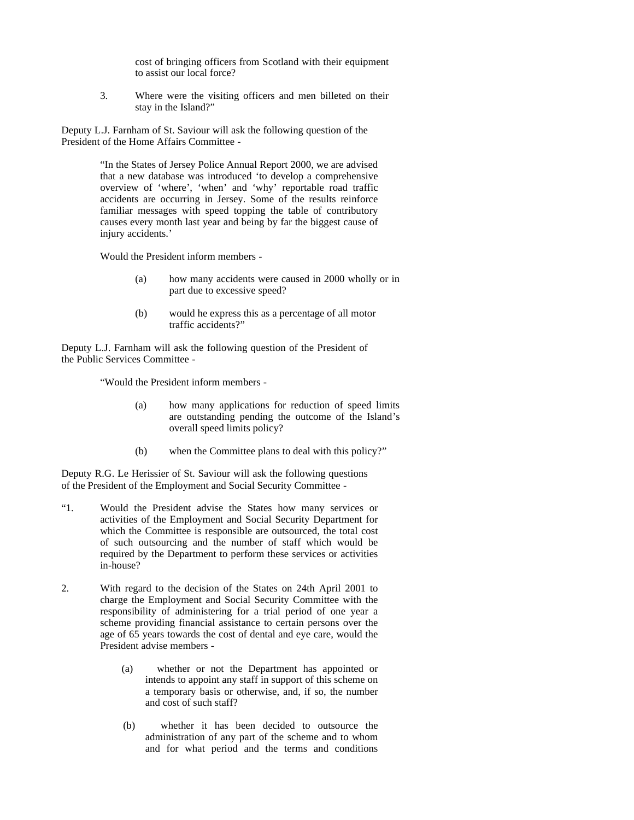cost of bringing officers from Scotland with their equipment to assist our local force?

3. Where were the visiting officers and men billeted on their stay in the Island?"

Deputy L.J. Farnham of St. Saviour will ask the following question of the President of the Home Affairs Committee -

> "In the States of Jersey Police Annual Report 2000, we are advised that a new database was introduced 'to develop a comprehensive overview of 'where', 'when' and 'why' reportable road traffic accidents are occurring in Jersey. Some of the results reinforce familiar messages with speed topping the table of contributory causes every month last year and being by far the biggest cause of injury accidents.'

Would the President inform members -

- (a) how many accidents were caused in 2000 wholly or in part due to excessive speed?
- (b) would he express this as a percentage of all motor traffic accidents?"

Deputy L.J. Farnham will ask the following question of the President of the Public Services Committee -

"Would the President inform members -

- (a) how many applications for reduction of speed limits are outstanding pending the outcome of the Island's overall speed limits policy?
- (b) when the Committee plans to deal with this policy?"

Deputy R.G. Le Herissier of St. Saviour will ask the following questions of the President of the Employment and Social Security Committee -

- "1. Would the President advise the States how many services or activities of the Employment and Social Security Department for which the Committee is responsible are outsourced, the total cost of such outsourcing and the number of staff which would be required by the Department to perform these services or activities in-house?
- 2. With regard to the decision of the States on 24th April 2001 to charge the Employment and Social Security Committee with the responsibility of administering for a trial period of one year a scheme providing financial assistance to certain persons over the age of 65 years towards the cost of dental and eye care, would the President advise members -
	- (a) whether or not the Department has appointed or intends to appoint any staff in support of this scheme on a temporary basis or otherwise, and, if so, the number and cost of such staff?
	- (b) whether it has been decided to outsource the administration of any part of the scheme and to whom and for what period and the terms and conditions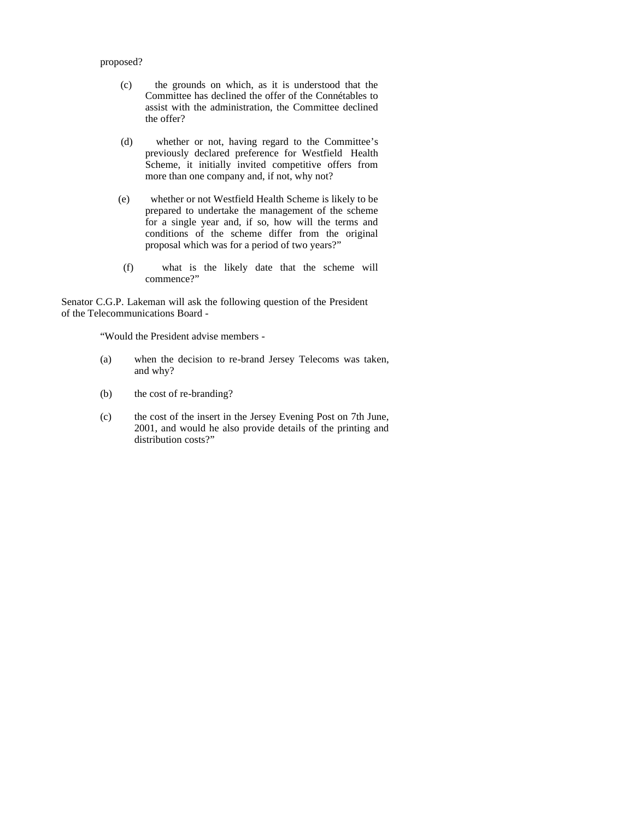### proposed?

- (c) the grounds on which, as it is understood that the Committee has declined the offer of the Connétables to assist with the administration, the Committee declined the offer?
- (d) whether or not, having regard to the Committee's previously declared preference for Westfield Health Scheme, it initially invited competitive offers from more than one company and, if not, why not?
- (e) whether or not Westfield Health Scheme is likely to be prepared to undertake the management of the scheme for a single year and, if so, how will the terms and conditions of the scheme differ from the original proposal which was for a period of two years?"
- (f) what is the likely date that the scheme will commence?"

Senator C.G.P. Lakeman will ask the following question of the President of the Telecommunications Board -

"Would the President advise members -

- (a) when the decision to re-brand Jersey Telecoms was taken, and why?
- (b) the cost of re-branding?
- (c) the cost of the insert in the Jersey Evening Post on 7th June, 2001, and would he also provide details of the printing and distribution costs?"